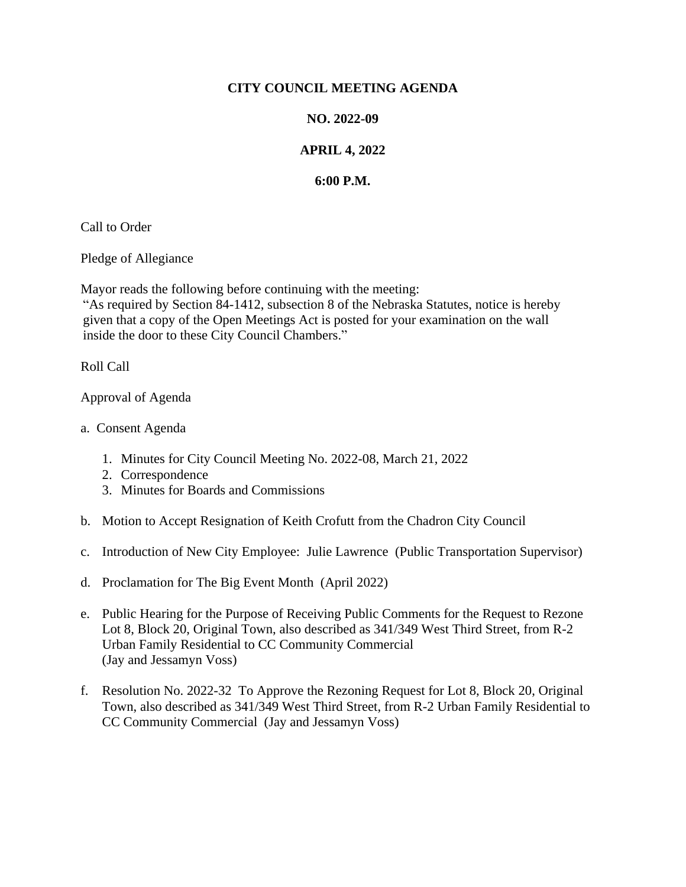## **CITY COUNCIL MEETING AGENDA**

## **NO. 2022-09**

## **APRIL 4, 2022**

## **6:00 P.M.**

Call to Order

Pledge of Allegiance

Mayor reads the following before continuing with the meeting:

"As required by Section 84-1412, subsection 8 of the Nebraska Statutes, notice is hereby given that a copy of the Open Meetings Act is posted for your examination on the wall inside the door to these City Council Chambers."

Roll Call

Approval of Agenda

- a. Consent Agenda
	- 1. Minutes for City Council Meeting No. 2022-08, March 21, 2022
	- 2. Correspondence
	- 3. Minutes for Boards and Commissions
- b. Motion to Accept Resignation of Keith Crofutt from the Chadron City Council
- c. Introduction of New City Employee: Julie Lawrence (Public Transportation Supervisor)
- d. Proclamation for The Big Event Month (April 2022)
- e. Public Hearing for the Purpose of Receiving Public Comments for the Request to Rezone Lot 8, Block 20, Original Town, also described as 341/349 West Third Street, from R-2 Urban Family Residential to CC Community Commercial (Jay and Jessamyn Voss)
- f. Resolution No. 2022-32 To Approve the Rezoning Request for Lot 8, Block 20, Original Town, also described as 341/349 West Third Street, from R-2 Urban Family Residential to CC Community Commercial (Jay and Jessamyn Voss)